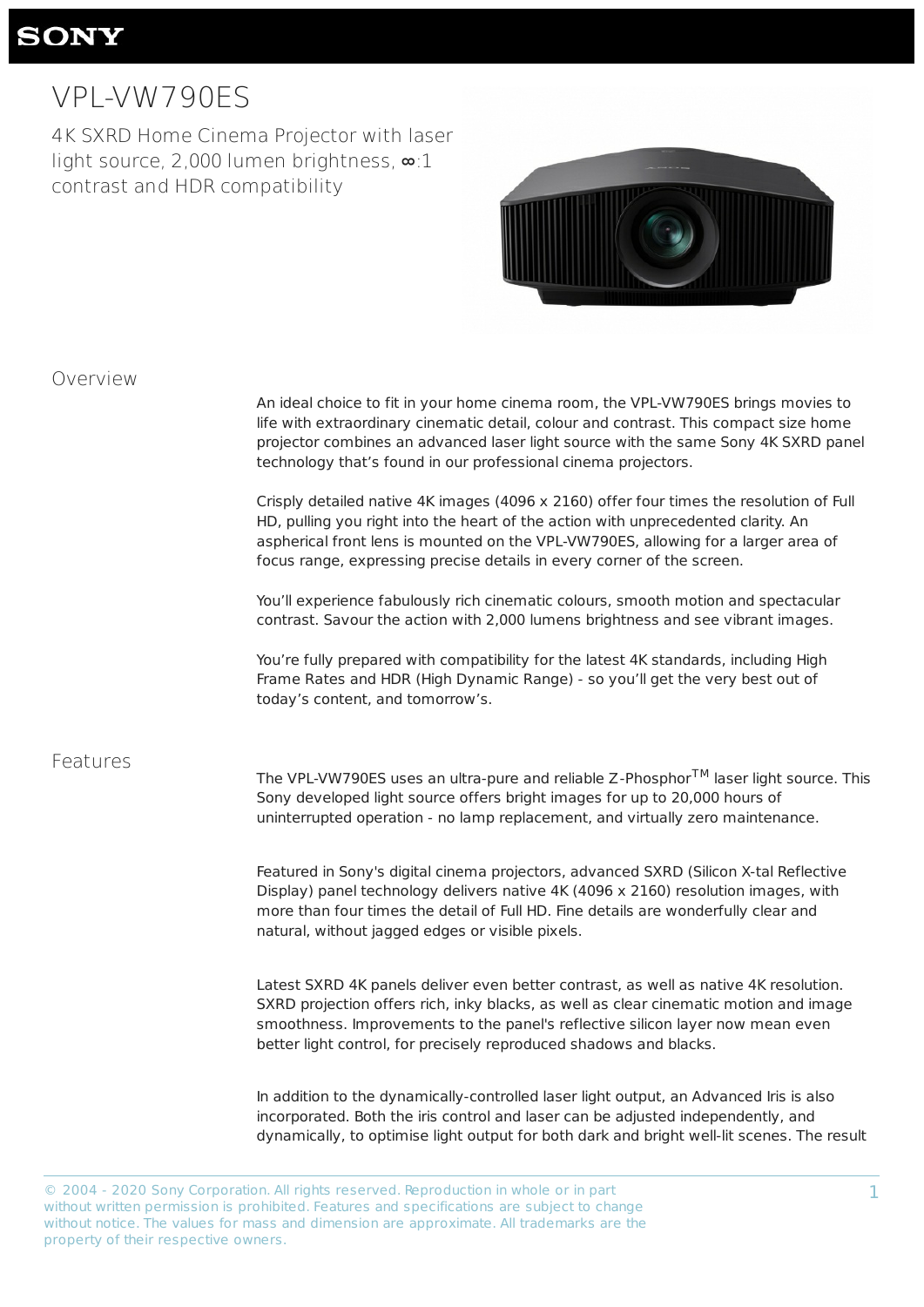1

# **SONY**

# VPL-VW790ES

4K SXRD Home Cinema Projector with laser light source, 2,000 lumen brightness, ∞:1 contrast and HDR compatibility



#### Overview

| An ideal choice to fit in your home cinema room, the VPL-VW790ES brings movies to       |
|-----------------------------------------------------------------------------------------|
| life with extraordinary cinematic detail, colour and contrast. This compact size home   |
| projector combines an advanced laser light source with the same Sony 4K SXRD panel      |
| technology that's found in our professional cinema projectors.                          |
| Crisply detailed native 4K images (4096 x 2160) offer four times the resolution of Full |
| HD, pulling you right into the heart of the action with unprecedented clarity. An       |
| aspherical front lens is mounted on the VPL-VW790ES, allowing for a larger area of      |
| focus range, expressing precise details in every corner of the screen.                  |

The VPL-VW790ES uses an ultra-pure and reliable Z-Phosphor $^{\mathsf{TM}}$  laser light source. This Sony developed light source offers bright images for up to 20,000 hours of uninterrupted operation - no lamp replacement, and virtually zero maintenance.

You'll experience fabulously rich cinematic colours, smooth motion and spectacular contrast. Savour the action with 2,000 lumens brightness and see vibrant images.

You're fully prepared with compatibility for the latest 4K standards, including High Frame Rates and HDR (High Dynamic Range) - so you'll get the very best out of today's content, and tomorrow's.

#### Features

Featured in Sony's digital cinema projectors, advanced SXRD (Silicon X-tal Reflective Display) panel technology delivers native 4K (4096 x 2160) resolution images, with more than four times the detail of Full HD. Fine details are wonderfully clear and natural, without jagged edges or visible pixels.

Latest SXRD 4K panels deliver even better contrast, as well as native 4K resolution. SXRD projection offers rich, inky blacks, as well as clear cinematic motion and image smoothness. Improvements to the panel's reflective silicon layer now mean even better light control, for precisely reproduced shadows and blacks.

In addition to the dynamically-controlled laser light output, an Advanced Iris is also incorporated. Both the iris control and laser can be adjusted independently, and dynamically, to optimise light output for both dark and bright well-lit scenes. The result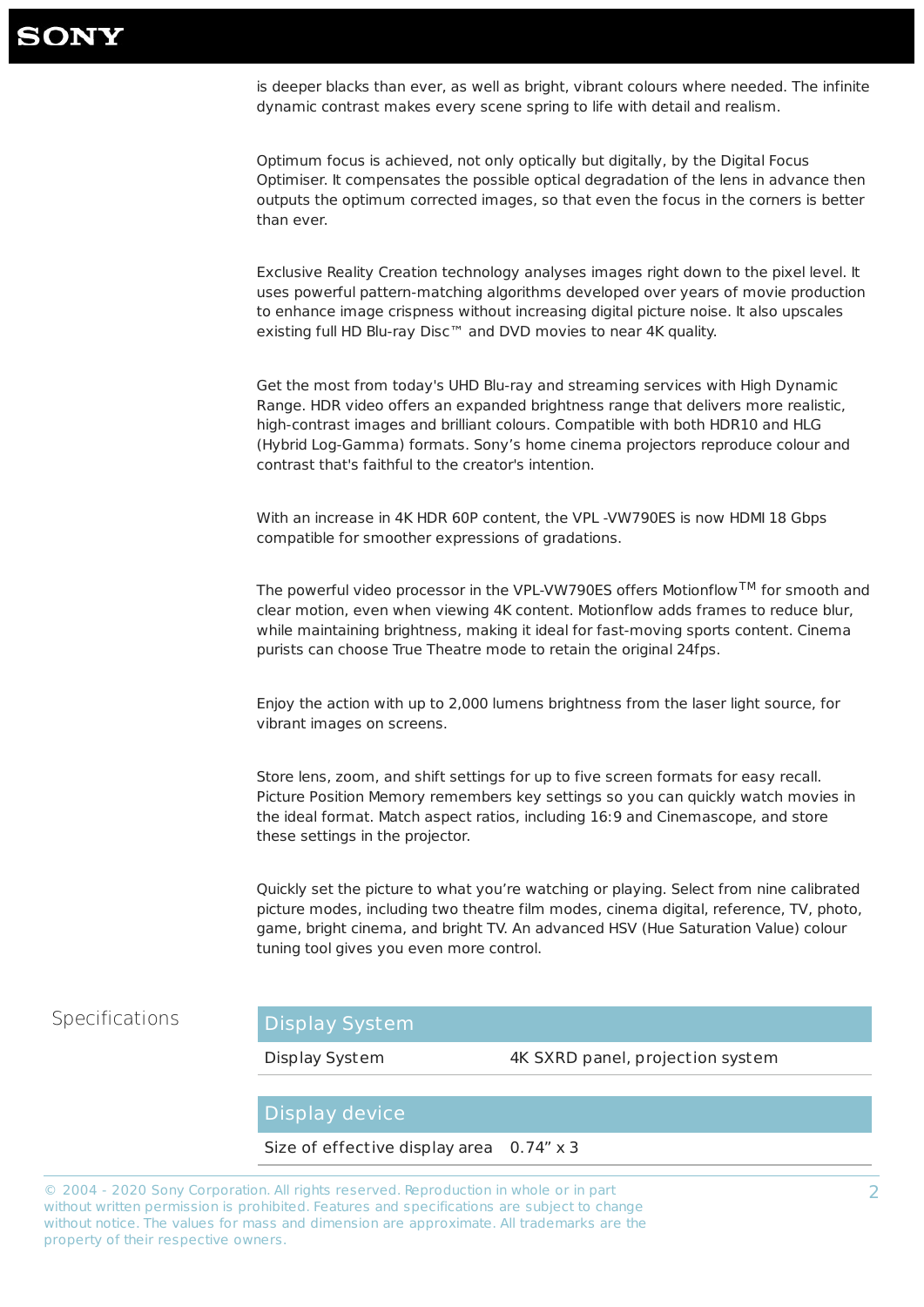2

Exclusive Reality Creation technology analyses images right down to the pixel level. It uses powerful pattern-matching algorithms developed over years of movie production to enhance image crispness without increasing digital picture noise. It also upscales existing full HD Blu-ray Disc™ and DVD movies to near 4K quality.

is deeper blacks than ever, as well as bright, vibrant colours where needed. The infinite dynamic contrast makes every scene spring to life with detail and realism.

Optimum focus is achieved, not only optically but digitally, by the Digital Focus Optimiser. It compensates the possible optical degradation of the lens in advance then outputs the optimum corrected images, so that even the focus in the corners is better than ever.

The powerful video processor in the VPL-VW790ES offers Motionflow $^{\mathsf{TM}}$  for smooth and clear motion, even when viewing 4K content. Motionflow adds frames to reduce blur, while maintaining brightness, making it ideal for fast-moving sports content. Cinema purists can choose True Theatre mode to retain the original 24fps.

Get the most from today's UHD Blu-ray and streaming services with High Dynamic Range. HDR video offers an expanded brightness range that delivers more realistic, high-contrast images and brilliant colours. Compatible with both HDR10 and HLG (Hybrid Log-Gamma) formats. Sony's home cinema projectors reproduce colour and contrast that's faithful to the creator's intention.

With an increase in 4K HDR 60P content, the VPL -VW790ES is now HDMI 18 Gbps compatible for smoother expressions of gradations.

Enjoy the action with up to 2,000 lumens brightness from the laser light source, for vibrant images on screens.

Store lens, zoom, and shift settings for up to five screen formats for easy recall. Picture Position Memory remembers key settings so you can quickly watch movies in the ideal format. Match aspect ratios, including 16:9 and Cinemascope, and store these settings in the projector.

Quickly set the picture to what you're watching or playing. Select from nine calibrated picture modes, including two theatre film modes, cinema digital, reference, TV, photo, game, bright cinema, and bright TV. An advanced HSV (Hue Saturation Value) colour tuning tool gives you even more control.



Display System 4K SXRD panel, projection system



#### Size of effective display area 0.74" x 3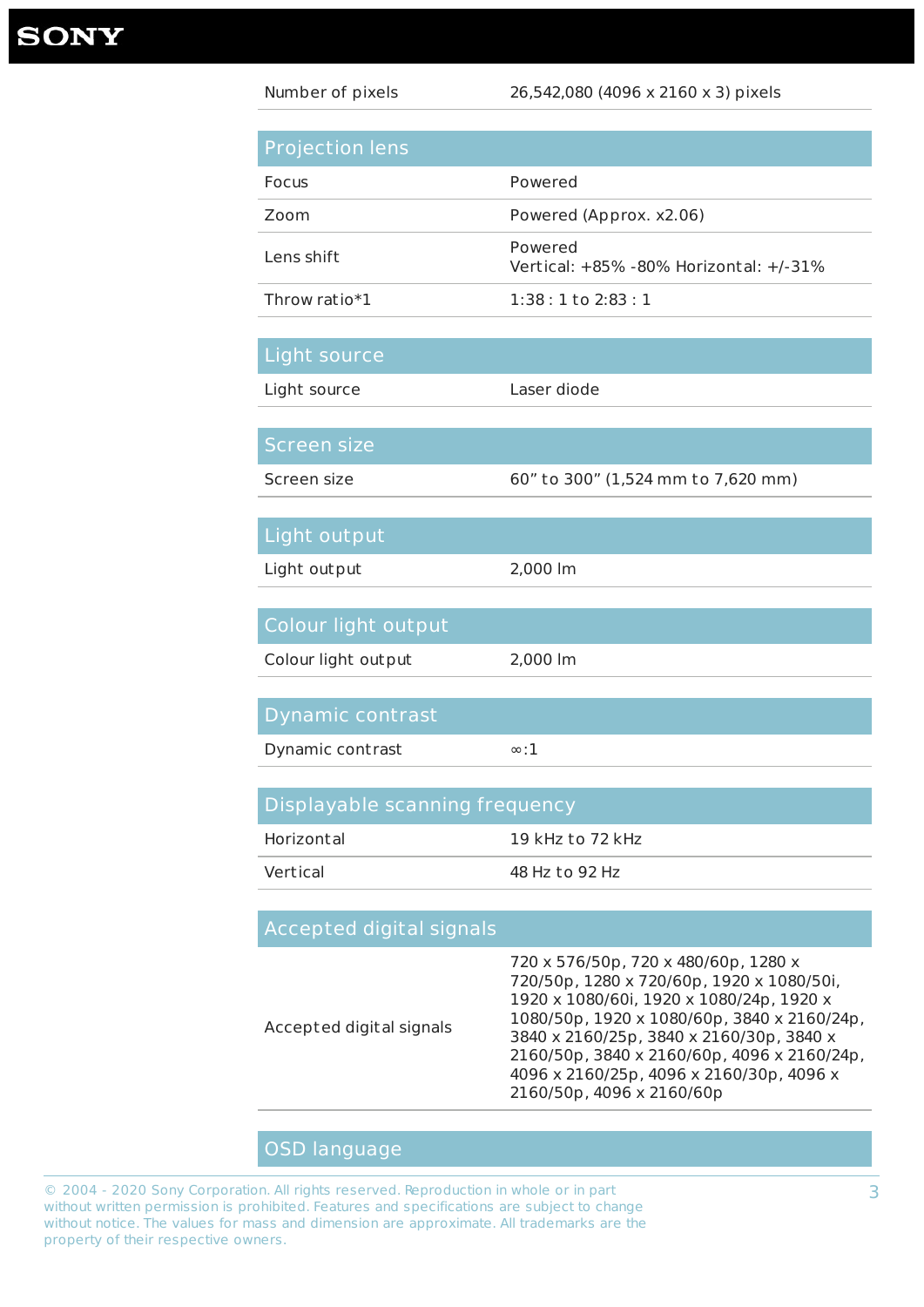3

| Number of pixels               | 26,542,080 (4096 x 2160 x 3) pixels               |
|--------------------------------|---------------------------------------------------|
|                                |                                                   |
| <b>Projection lens</b>         |                                                   |
| <b>Focus</b>                   | Powered                                           |
| Zoom                           | Powered (Approx. x2.06)                           |
| Lens shift                     | Powered<br>Vertical: +85% -80% Horizontal: +/-31% |
| Throw ratio*1                  | $1:38:1$ to $2:83:1$                              |
|                                |                                                   |
| Light source                   |                                                   |
| Light source                   | Laser diode                                       |
|                                |                                                   |
| <b>Screen size</b>             |                                                   |
| Screen size                    | 60" to 300" (1,524 mm to 7,620 mm)                |
|                                |                                                   |
| Light output                   |                                                   |
| Light out put                  | 2,000 lm                                          |
|                                |                                                   |
| Colour light output            |                                                   |
| Colour light out put           | 2,000 lm                                          |
|                                |                                                   |
| Dynamic contrast               |                                                   |
| Dynamic contrast               | $\infty$ :1                                       |
|                                |                                                   |
| Displayable scanning frequency |                                                   |
| Horizontal                     | 19 kHz to 72 kHz                                  |
| Vertical                       | 48 Hz to 92 Hz                                    |

# Accepted digital signals

Accepted digital signals

720 x 576/50p, 720 x 480/60p, 1280 x 720/50p, 1280 x 720/60p, 1920 x 1080/50i, 1920 x 1080/60i, 1920 x 1080/24p, 1920 x 1080/50p, 1920 x 1080/60p, 3840 x 2160/24p, 3840 x 2160/25p, 3840 x 2160/30p, 3840 x 2160/50p, 3840 x 2160/60p, 4096 x 2160/24p, 4096 x 2160/25p, 4096 x 2160/30p, 4096 x 2160/50p, 4096 x 2160/60p

## OSD language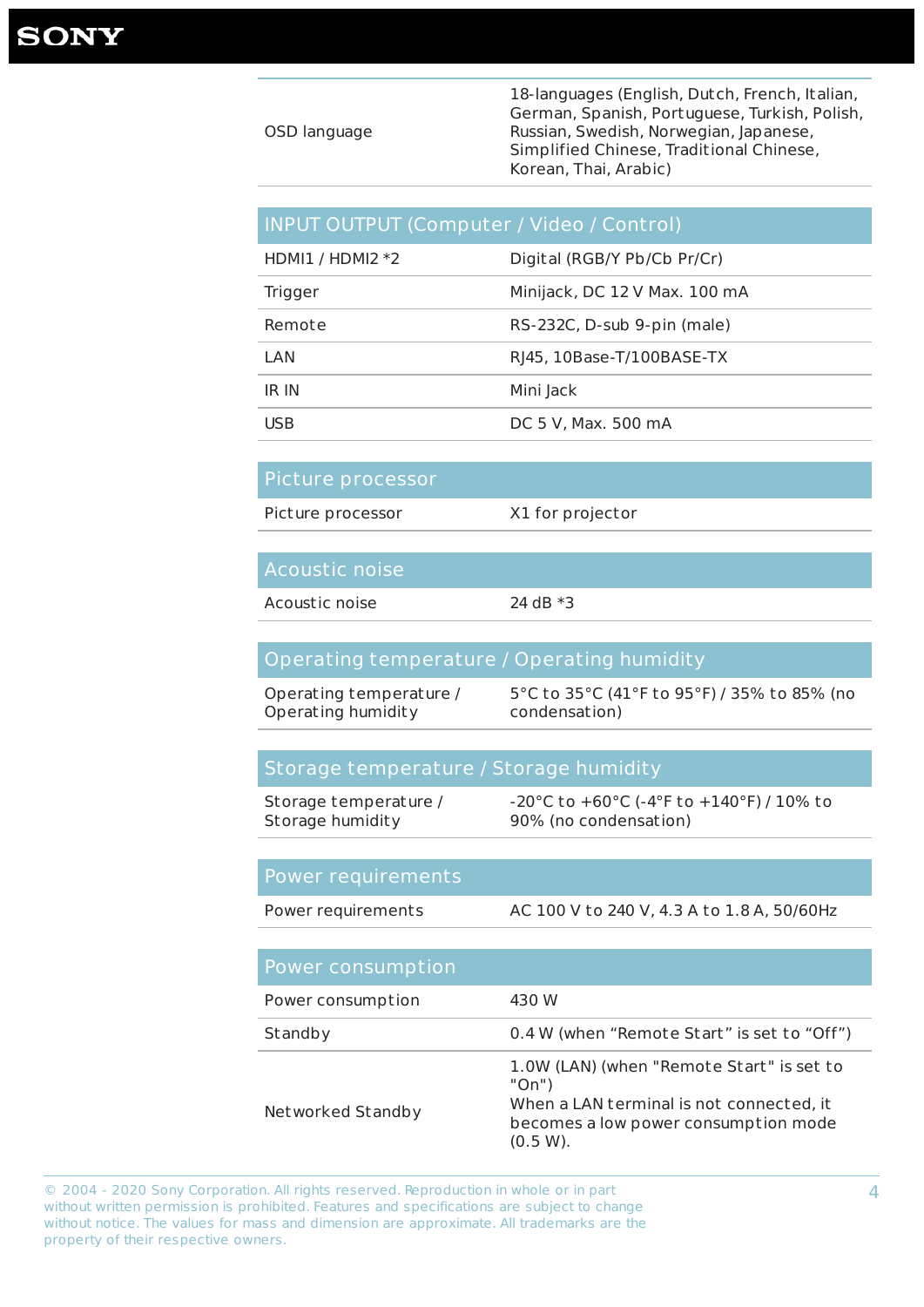4

|              | 18-languages (English, Dutch, French, Italian, |
|--------------|------------------------------------------------|
|              | German, Spanish, Portuguese, Turkish, Polish,  |
| OSD language | Russian, Swedish, Norwegian, Japanese,         |
|              | Simplified Chinese, Traditional Chinese,       |
|              | Korean, Thai, Arabic)                          |

## INPUT OUTPUT (Computer / Video / Control)

| HDMI1 / HDMI2 $*2$ | Digital (RGB/Y Pb/Cb Pr/Cr)   |
|--------------------|-------------------------------|
| <b>Trigger</b>     | Minijack, DC 12 V Max. 100 mA |
| Remote             | RS-232C, D-sub 9-pin (male)   |
| LAN                | RI45, 10Base-T/100BASE-TX     |
| IR IN              | Mini Jack                     |
| <b>USB</b>         | DC 5 V, Max. 500 mA           |

#### Picture processor

Picture processor X1 for projector

## Acoustic noise

Acoustic noise 24 dB \*3

#### Operating temperature / Operating humidity

Operating temperature / Operating humidity 5°C to 35°C (41°F to 95°F) / 35% to 85% (no condensation)

#### Storage temperature / Storage humidity

Storage temperature / Storage humidity -20°C to +60°C (-4°F to +140°F) / 10% to 90% (no condensation)

#### Power requirements

Power requirements AC 100 V to 240 V, 4.3 A to 1.8 A, 50/60Hz

#### Power consumption

| Power consumption | 430 W                                                                                                                                                    |
|-------------------|----------------------------------------------------------------------------------------------------------------------------------------------------------|
| Standby           | 0.4 W (when "Remote Start" is set to "Off")                                                                                                              |
| Networked Standby | 1.0W (LAN) (when "Remote Start" is set to<br>$"On"$ )<br>When a LAN terminal is not connected, it<br>becomes a low power consumption mode<br>$(0.5 W)$ . |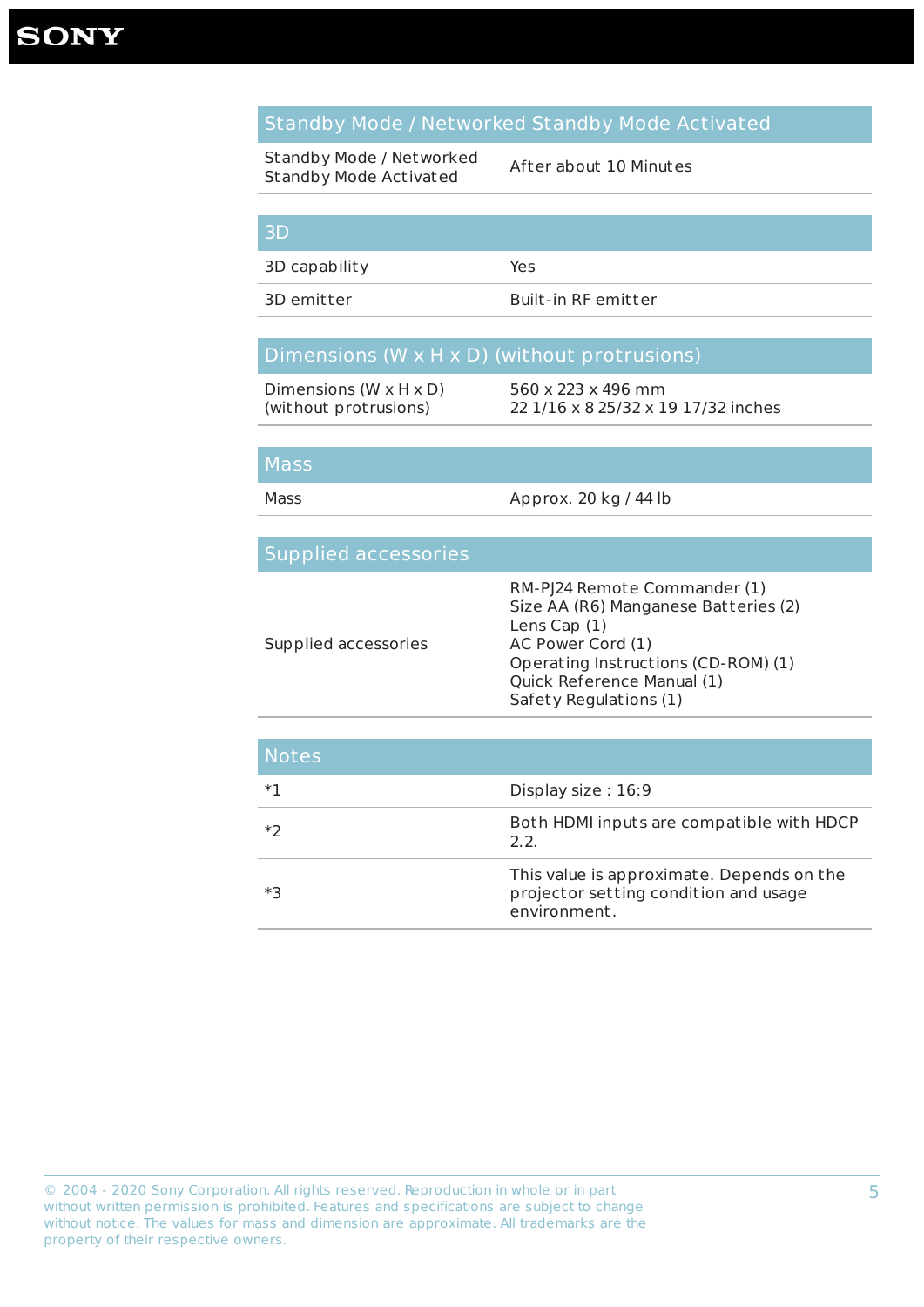Dimensions (W x H x D) (without protrusions)

### Standby Mode / Networked Standby Mode Activated

Standby Mode / Networked Standby Mode Activated

After about 10 Minutes

#### 3D

3D capability Yes

3D emitter Built-in RF emitter

#### Dimensions (W x H x D) (without protrusions)

560 x 223 x 496 mm 22 1/16 x 8 25/32 x 19 17/32 inches

#### Mass

Mass Mass Approx. 20 kg / 44 lb

#### Supplied accessories Supplied accessories RM-PJ24 Remote Commander (1) Size AA (R6) Manganese Batteries (2) Lens Cap (1) AC Power Cord (1) Operating Instructions (CD-ROM) (1) Quick Reference Manual (1) Safety Regulations (1)

| <b>Notes</b> |                                                                                                    |
|--------------|----------------------------------------------------------------------------------------------------|
| $*1$         | Display size: 16:9                                                                                 |
| ∗ว           | Both HDMI inputs are compatible with HDCP<br>2.2.                                                  |
| ∗3           | This value is approximate. Depends on the<br>projector setting condition and usage<br>environment. |